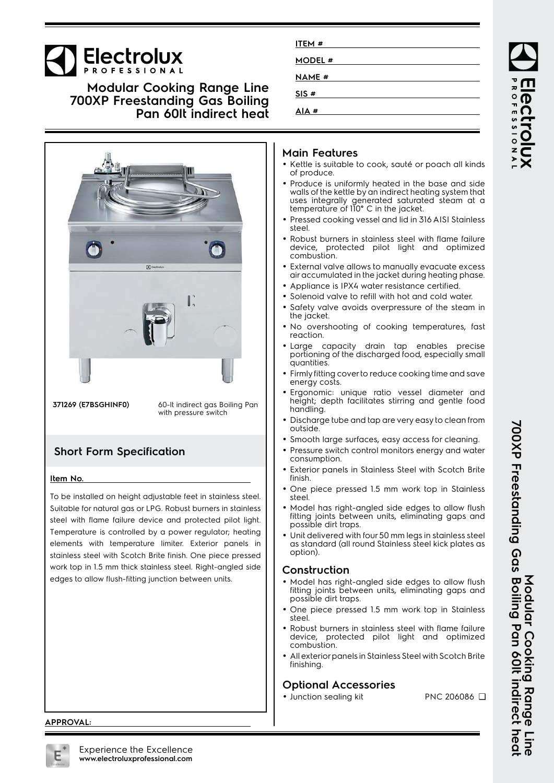# **Electrolux**

### **Modular Cooking Range Line 700XP Freestanding Gas Boiling Pan 60lt indirect heat**



**371269 (E7BSGHINF0)** 60-lt indirect gas Boiling Pan with pressure switch

## **Short Form Specification**

#### **Item No.**

To be installed on height adjustable feet in stainless steel. Suitable for natural gas or LPG. Robust burners in stainless steel with flame failure device and protected pilot light. Temperature is controlled by a power regulator; heating elements with temperature limiter. Exterior panels in stainless steel with Scotch Brite finish. One piece pressed work top in 1.5 mm thick stainless steel. Right-angled side edges to allow flush-fitting junction between units.

| ITEM #        |  |
|---------------|--|
| <b>MODEL#</b> |  |
| <b>NAME #</b> |  |
| SIS#          |  |
| AIA#          |  |

### **Main Features**

- Kettle is suitable to cook, sauté or poach all kinds of produce.
- Produce is uniformly heated in the base and side walls of the kettle by an indirect heating system that uses integrally generated saturated steam at a temperature of 110° C in the jacket.
- Pressed cooking vessel and lid in 316 AISI Stainless steel.
- Robust burners in stainless steel with flame failure device, protected pilot light and optimized combustion.
- • External valve allows to manually evacuate excess air accumulated in the jacket during heating phase.
- Appliance is IPX4 water resistance certified.
- •Solenoid valve to refill with hot and cold water.
- • Safety valve avoids overpressure of the steam in the jacket.
- No overshooting of cooking temperatures, fast reaction.
- Large capacity drain tap enables precise portioning of the discharged food, especially small quantities.
- Firmly fitting cover to reduce cooking time and save energy costs.
- Ergonomic: unique ratio vessel diameter and height; depth facilitates stirring and gentle food handling.
- Discharge tube and tap are very easy to clean from outside.
- Smooth large surfaces, easy access for cleaning.
- Pressure switch control monitors energy and water consumption.
- • Exterior panels in Stainless Steel with Scotch Brite finish.
- • One piece pressed 1.5 mm work top in Stainless steel.
- • Model has right-angled side edges to allow flush fitting joints between units, eliminating gaps and possible dirt traps.
- Unit delivered with four 50 mm legs in stainless steel as standard (all round Stainless steel kick plates as option).

### **Construction**

- Model has right-angled side edges to allow flush fitting joints between units, eliminating gaps and possible dirt traps.
- One piece pressed 1.5 mm work top in Stainless steel.
- Robust burners in stainless steel with flame failure device, protected pilot light and optimized combustion.
- • All exterior panels in Stainless Steel with Scotch Brite finishing.

### **Optional Accessories**

• Junction sealing kit PNC 206086 ❑

**Modular Cooking Range Line**

Tine<br>Si

Modular Cooking Range

**700XP Freestanding Gas Boiling Pan 60lt indirect heat**

700XP Freestanding Gas Boiling Pan 60It indirect heal

**APPROVAL:**

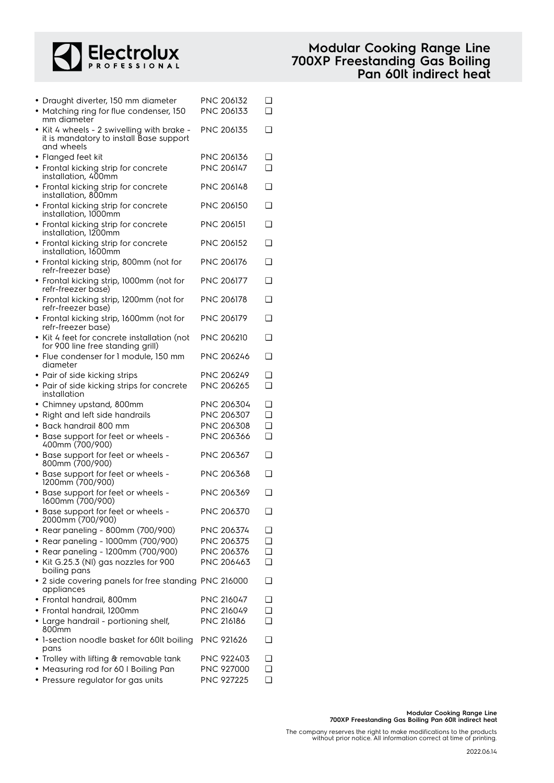

| • Draught diverter, 150 mm diameter<br>• Matching ring for flue condenser, 150                     | PNC 206132<br>PNC 206133 | ❏<br>❏   |
|----------------------------------------------------------------------------------------------------|--------------------------|----------|
| mm diameter<br>Kit 4 wheels - 2 swivelling with brake -<br>it is mandatory to install Base support | PNC 206135               | ❏        |
| and wheels                                                                                         |                          |          |
| • Flanged feet kit                                                                                 | PNC 206136               | ❏        |
| • Frontal kicking strip for concrete<br>installation, 400mm                                        | <b>PNC 206147</b>        | ∩        |
| • Frontal kicking strip for concrete<br>installation, 800mm                                        | PNC 206148               | ❏        |
| • Frontal kicking strip for concrete<br>installation, 1000mm                                       | <b>PNC 206150</b>        | ⊓        |
| • Frontal kicking strip for concrete<br>installation, 1200mm                                       | <b>PNC 206151</b>        | ❏        |
| • Frontal kicking strip for concrete<br>installation, 1600mm                                       | <b>PNC 206152</b>        | ⊓        |
| · Frontal kicking strip, 800mm (not for<br>refr-freezer base)                                      | PNC 206176               | ❏        |
| • Frontal kicking strip, 1000mm (not for<br>refr-freezer base)                                     | <b>PNC 206177</b>        | ❏        |
| • Frontal kicking strip, 1200mm (not for<br>refr-freezer base)                                     | <b>PNC 206178</b>        | ∩        |
| · Frontal kicking strip, 1600mm (not for<br>refr-freezer base)                                     | <b>PNC 206179</b>        | ⊓        |
| • Kit 4 feet for concrete installation (not                                                        | <b>PNC 206210</b>        | ❏        |
| for 900 line free standing grill)<br>• Flue condenser for 1 module, 150 mm                         | PNC 206246               | ◻        |
| diameter<br>• Pair of side kicking strips                                                          | <b>PNC 206249</b>        | ❏        |
| • Pair of side kicking strips for concrete                                                         | <b>PNC 206265</b>        | ∩        |
| installation                                                                                       |                          |          |
| • Chimney upstand, 800mm                                                                           | PNC 206304               | ❏        |
| • Right and left side handrails                                                                    | PNC 206307               | ❏        |
| Back handrail 800 mm                                                                               | PNC 206308               | ∩        |
| • Base support for feet or wheels -<br>400mm (700/900)                                             | PNC 206366               | ∩        |
| • Base support for feet or wheels -<br>800mm (700/900)                                             | PNC 206367               | □        |
| • Base support for feet or wheels -<br>1200mm (700/900)                                            | <b>PNC 206368</b>        | ❏        |
| • Base support for feet or wheels -<br>1600mm (700/900)                                            | PNC 206369               |          |
| • Base support for feet or wheels -<br>2000mm (700/900)                                            | PNC 206370               | ❏        |
| • Rear paneling - 800mm (700/900)                                                                  | PNC 206374               | ⊐        |
| • Rear paneling - 1000mm (700/900)                                                                 | PNC 206375               | ❏        |
| • Rear paneling - 1200mm (700/900)                                                                 | PNC 206376               | ❏        |
| • Kit G.25.3 (NI) gas nozzles for 900                                                              | PNC 206463               | <b>□</b> |
| boiling pans                                                                                       |                          |          |
| • 2 side covering panels for free standing PNC 216000<br>appliances                                |                          | ❏        |
| • Frontal handrail, 800mm                                                                          | PNC 216047               | ◻        |
| • Frontal handrail, 1200mm                                                                         | PNC 216049               | ❏        |
| • Large handrail - portioning shelf,<br>800mm                                                      | <b>PNC 216186</b>        | n        |
| • 1-section noodle basket for 60lt boiling<br>pans                                                 | PNC 921626               | ❏        |
| • Trolley with lifting & removable tank                                                            | <b>PNC 922403</b>        | ❏        |
| • Measuring rod for 60 I Boiling Pan                                                               | PNC 927000               | ❏        |
| • Pressure regulator for gas units                                                                 | PNC 927225               | Q.       |

The company reserves the right to make modifications to the products without prior notice. All information correct at time of printing.